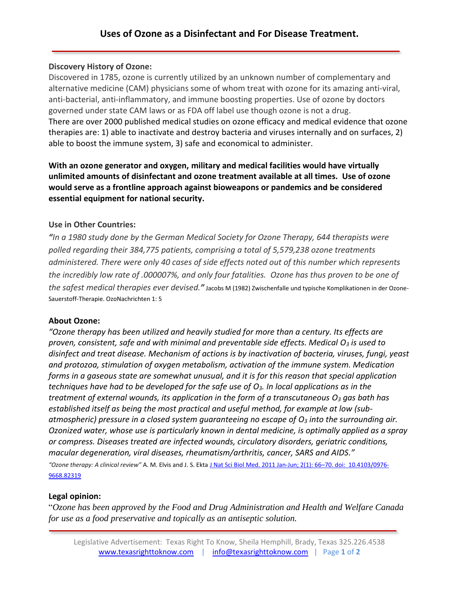## **Discovery History of Ozone:**

Discovered in 1785, ozone is currently utilized by an unknown number of complementary and alternative medicine (CAM) physicians some of whom treat with ozone for its amazing anti-viral, anti-bacterial, anti-inflammatory, and immune boosting properties. Use of ozone by doctors governed under state CAM laws or as FDA off label use though ozone is not a drug. There are over 2000 published medical studies on ozone efficacy and medical evidence that ozone therapies are: 1) able to inactivate and destroy bacteria and viruses internally and on surfaces, 2) able to boost the immune system, 3) safe and economical to administer.

**With an ozone generator and oxygen, military and medical facilities would have virtually unlimited amounts of disinfectant and ozone treatment available at all times. Use of ozone would serve as a frontline approach against bioweapons or pandemics and be considered essential equipment for national security.** 

## **Use in Other Countries:**

*"In a 1980 study done by the German Medical Society for Ozone Therapy, 644 therapists were polled regarding their 384,775 patients, comprising a total of 5,579,238 ozone treatments administered. There were only 40 cases of side effects noted out of this number which represents the incredibly low rate of .000007%, and only four fatalities. Ozone has thus proven to be one of the safest medical therapies ever devised."* Jacobs M (1982) Zwischenfalle und typische Komplikationen in der Ozone-Sauerstoff-Therapie. OzoNachrichten 1: 5

### **About Ozone:**

*"Ozone therapy has been utilized and heavily studied for more than a century. Its effects are proven, consistent, safe and with minimal and preventable side effects. Medical O<sup>3</sup> is used to disinfect and treat disease. Mechanism of actions is by inactivation of bacteria, viruses, fungi, yeast and protozoa, stimulation of oxygen metabolism, activation of the immune system. Medication forms in a gaseous state are somewhat unusual, and it is for this reason that special application techniques have had to be developed for the safe use of O3. In local applications as in the treatment of external wounds, its application in the form of a transcutaneous O<sup>3</sup> gas bath has established itself as being the most practical and useful method, for example at low (subatmospheric) pressure in a closed system guaranteeing no escape of O<sup>3</sup> into the surrounding air. Ozonized water, whose use is particularly known in dental medicine, is optimally applied as a spray or compress. Diseases treated are infected wounds, circulatory disorders, geriatric conditions, macular degeneration, viral diseases, rheumatism/arthritis, cancer, SARS and AIDS." "Ozone therapy: A clinical review"* A. M. Elvis and J. S. Ekta J Nat Sci Biol Med. 2011 Jan-Jun; 2(1): 66–70. doi: [10.4103/0976-](https://3aa7cde6-95ae-4491-a221-63afdea9721d.filesusr.com/ugd/0cceca_7668a5b6b2e54728abcc662f1e849d74.pdf) [9668.82319](https://3aa7cde6-95ae-4491-a221-63afdea9721d.filesusr.com/ugd/0cceca_7668a5b6b2e54728abcc662f1e849d74.pdf)

### **Legal opinion:**

"*Ozone has been approved by the Food and Drug Administration and Health and Welfare Canada for use as a food preservative and topically as an antiseptic solution.*